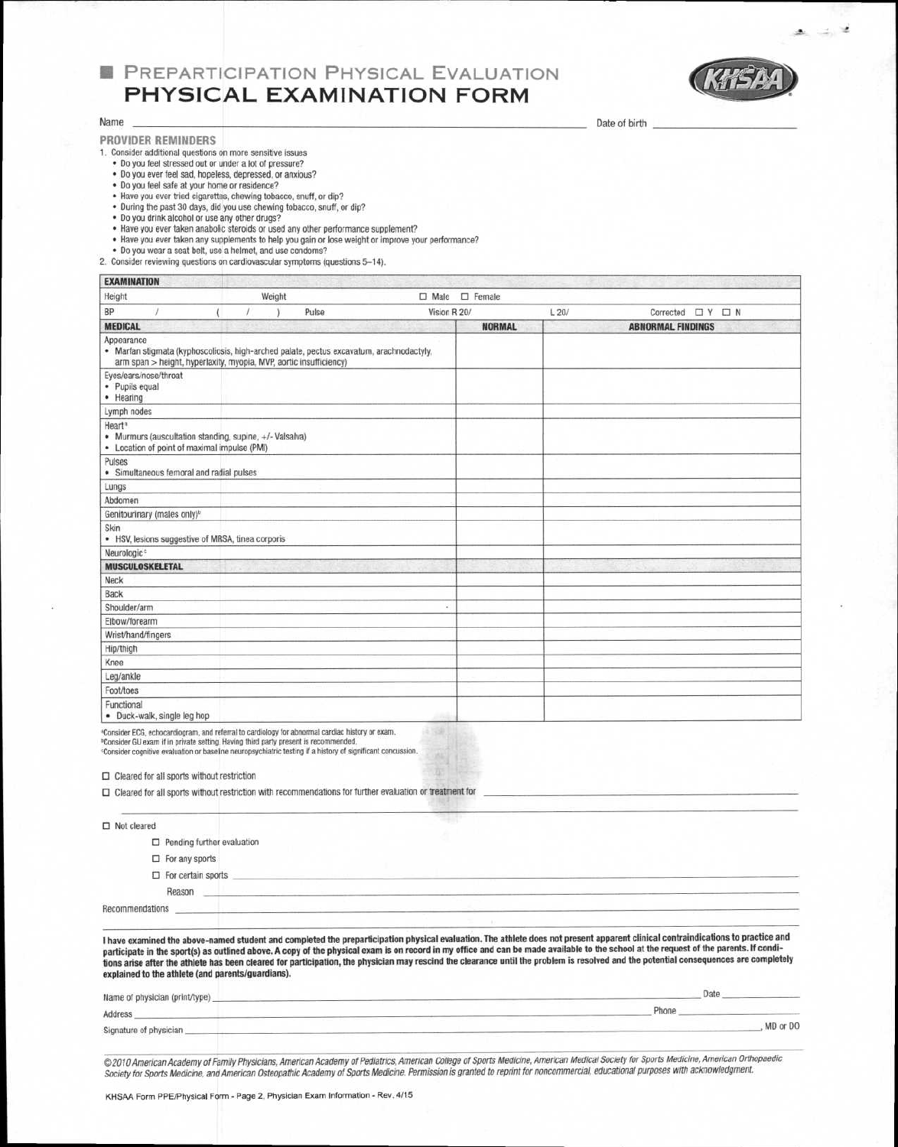# **B PREPARTICIPATION PHYSICAL EVALUATION PHYSICAL EXAMINATION FORM**



ت

**Date of birth** 

#### **Name**

**PROVIDER REMINDERS** 

1. Consider additional questions on more sensitive issues

- Do you feel stressed out or under a lot of pressure? • Do you ever feel sad, hopeless, depressed, or anxious?
- Do you feel safe at your home or residence?
- Have you ever tried cigarettes, chewing tobacco, snuff, or dip?
- During the past 30 days, did you use chewing tobacco, snuff, or dip?
- Do you drink alcohol or use any other drugs?
- Have you ever taken anabolic steroids or used any other performance supplement?
- Have you ever taken any supplements to help you gain or lose weight or improve your performance? Do you wear a seat belt, use a helmet, and use condoms?
- 

2. Consider reviewing questions on cardiovascular symptoms (questions 5-14).

| EXAMINATION                 |                                                                                                         |  |        |                                                                                                                                                                |                |               |      |                             |
|-----------------------------|---------------------------------------------------------------------------------------------------------|--|--------|----------------------------------------------------------------------------------------------------------------------------------------------------------------|----------------|---------------|------|-----------------------------|
| Height                      |                                                                                                         |  | Weight |                                                                                                                                                                | $\square$ Male | $\Box$ Female |      |                             |
| BP                          |                                                                                                         |  |        | Pulse                                                                                                                                                          | Vision R 20/   |               | L20/ | Corrected $\Box$ Y $\Box$ N |
| <b>MEDICAL</b>              |                                                                                                         |  |        |                                                                                                                                                                |                | <b>NORMAL</b> |      | <b>ABNORMAL FINDINGS</b>    |
| Appearance                  |                                                                                                         |  |        | · Marfan stigmata (kyphoscoliosis, high-arched palate, pectus excavatum, arachnodactyly,<br>arm span > height, hyperlaxity, myopia, MVP, aortic insufficiency) |                |               |      |                             |
| · Pupils equal<br>· Hearing | Eyes/ears/nose/throat                                                                                   |  |        |                                                                                                                                                                |                |               |      |                             |
| Lymph nodes                 |                                                                                                         |  |        |                                                                                                                                                                |                |               |      |                             |
| Heart <sup>®</sup>          | • Murmurs (auscultation standing, supine, +/- Valsalva)<br>• Location of point of maximal impulse (PMI) |  |        |                                                                                                                                                                |                |               |      |                             |
| Pulses                      | · Simultaneous femoral and radial pulses                                                                |  |        |                                                                                                                                                                |                |               |      |                             |
| Lungs                       |                                                                                                         |  |        |                                                                                                                                                                |                |               |      |                             |
| Abdomen                     |                                                                                                         |  |        |                                                                                                                                                                |                |               |      |                             |
|                             | Genitourinary (males only) <sup>b</sup>                                                                 |  |        |                                                                                                                                                                |                |               |      |                             |
| Skin                        | • HSV, lesions suggestive of MRSA, tinea corporis                                                       |  |        |                                                                                                                                                                |                |               |      |                             |
| Neurologic <sup>®</sup>     |                                                                                                         |  |        |                                                                                                                                                                |                |               |      |                             |
|                             | <b>MUSCULOSKELETAL</b>                                                                                  |  |        |                                                                                                                                                                |                |               |      |                             |
| Neck                        |                                                                                                         |  |        |                                                                                                                                                                |                |               |      |                             |
| Back                        |                                                                                                         |  |        |                                                                                                                                                                |                |               |      |                             |
| Shoulder/arm                |                                                                                                         |  |        |                                                                                                                                                                |                |               |      |                             |
| Elbow/forearm               |                                                                                                         |  |        |                                                                                                                                                                |                |               |      |                             |
|                             | Wrist/hand/fingers                                                                                      |  |        |                                                                                                                                                                |                |               |      |                             |
| Hip/thigh                   |                                                                                                         |  |        |                                                                                                                                                                |                |               |      |                             |
| Knee                        |                                                                                                         |  |        |                                                                                                                                                                |                |               |      |                             |
| Leg/ankle                   |                                                                                                         |  |        |                                                                                                                                                                |                |               |      |                             |
| Foot/toes                   |                                                                                                         |  |        |                                                                                                                                                                |                |               |      |                             |
| Functional                  | · Duck-walk, single leg hop                                                                             |  |        |                                                                                                                                                                |                |               |      |                             |

Consider ECG, echocardiogram, and referral to cardiology for abnormal cardiac history or exam.

Consider GU exam if in private setting. Having third party present is recommended. Consider cognitive evaluation or baseline neuropsychiatric testing if a history of significant concussion.

❑ Cleared for all sports without restriction

| $\Box$ Cleared for all sports without restriction with recommendations for further evaluation or treatment for |  |
|----------------------------------------------------------------------------------------------------------------|--|
| $\Box$ Not cleared                                                                                             |  |
| $\Box$ Pending further evaluation                                                                              |  |
| $\Box$ For any sports                                                                                          |  |
| $\Box$ For certain sports<br>Reason                                                                            |  |
| Recommendations                                                                                                |  |

**I have examined the above-named student and completed the preparticipation physical evaluation. The athlete does not present apparent clinical contraindications to practice and**  participate in the sport(s) as outlined above. A copy of the physical exam is on record in my office and can be made available to the school at the request of the parents. If condi**tions arise after the athlete has been cleared for participation, the physician may rescind the clearance until the problem is resolved and the potential consequences are completely explained to the athlete (and parents/guardians).** 

| Name of physician (print/type) | Date     |  |  |
|--------------------------------|----------|--|--|
| Address                        | -non     |  |  |
| Signature of physician         | MD or DO |  |  |

© 2010 American Academy of Family Physicians, American Academy of Pediatrics, American College of Sports Medicine, American Medical Society for Sports Medicine, American Orthopaedic Society for Sports Medicine, and American Osteopathic Academy of Sports Medicine. Permission is granted to reprint for noncommercial, educational purposes with acknowledgment.

KHSAA Form PPE/Physical Form - Page 2, Physician Exam Information - Rev. 4/15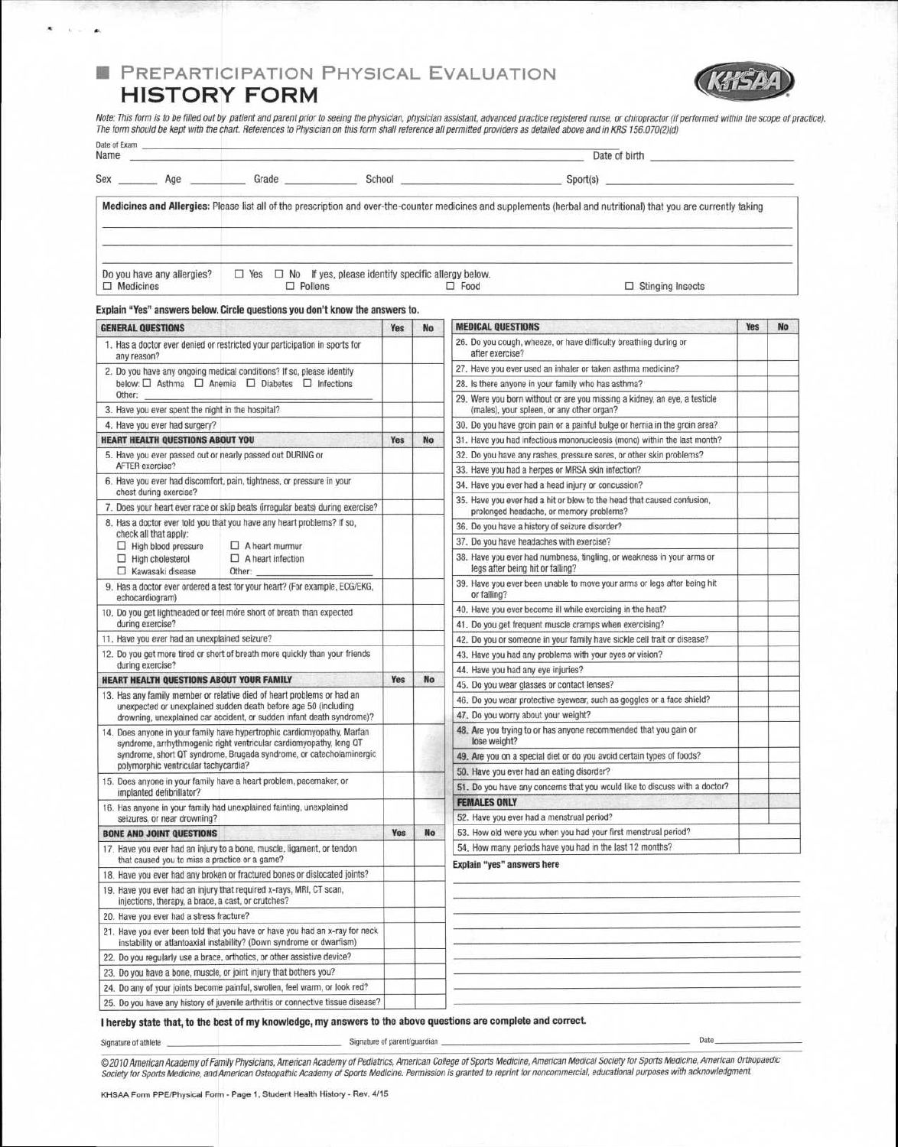# **■ PREPARTICIPATION PHYSICAL EVALUATION HISTORY FORM**



Note: This form is to be filled out by patient and parent prior to seeing the physician, physician assistant, advanced practice registered nurse, or chiropractor (if performed within the scope of practice<br>The form should b

| Name |                            |            |                                                           | Date of birth                                                                                                                                                      |
|------|----------------------------|------------|-----------------------------------------------------------|--------------------------------------------------------------------------------------------------------------------------------------------------------------------|
| Sex  | Age                        | Grade      | School                                                    | Sport(s)                                                                                                                                                           |
|      |                            |            |                                                           | Medicines and Allergies: Please list all of the prescription and over-the-counter medicines and supplements (herbal and nutritional) that you are currently taking |
|      |                            |            |                                                           |                                                                                                                                                                    |
|      |                            |            |                                                           |                                                                                                                                                                    |
|      |                            |            |                                                           |                                                                                                                                                                    |
|      |                            |            |                                                           |                                                                                                                                                                    |
|      | Do you have any allergies? | $\Box$ Yes | $\Box$ No If yes, please identify specific allergy below. |                                                                                                                                                                    |

**Explain "Yes" answers below. Circle questions you don't know the answers to.** 

Date of Exam

÷.

| <b>GENERAL QUESTIONS</b>                                                                                                                      |                                                                                                                                                     | <b>Yes</b> | No        | <b>MEDICAL QUESTIONS</b>                                                                                               | <b>Yes</b> | <b>No</b> |
|-----------------------------------------------------------------------------------------------------------------------------------------------|-----------------------------------------------------------------------------------------------------------------------------------------------------|------------|-----------|------------------------------------------------------------------------------------------------------------------------|------------|-----------|
| 1. Has a doctor ever denied or restricted your participation in sports for<br>any reason?                                                     |                                                                                                                                                     |            |           | 26. Do you cough, wheeze, or have difficulty breathing during or<br>after exercise?                                    |            |           |
|                                                                                                                                               | 2. Do you have any ongoing medical conditions? If so, please identify                                                                               |            |           | 27. Have you ever used an inhaler or taken asthma medicine?                                                            |            |           |
| below: $\Box$ Asthma $\Box$ Anemia $\Box$ Diabetes $\Box$ Infections                                                                          |                                                                                                                                                     |            |           | 28. Is there anyone in your family who has asthma?                                                                     |            |           |
| Other:<br>3. Have you ever spent the night in the hospital?                                                                                   |                                                                                                                                                     |            |           | 29. Were you born without or are you missing a kidney, an eye, a testicle<br>(males), your spleen, or any other organ? |            |           |
| 4. Have you ever had surgery?                                                                                                                 |                                                                                                                                                     |            |           | 30. Do you have groin pain or a painful bulge or hernia in the groin area?                                             |            |           |
| <b>HEART HEALTH QUESTIONS ABOUT YOU</b>                                                                                                       |                                                                                                                                                     | Yes        | No        | 31. Have you had infectious mononucleosis (mono) within the last month?                                                |            |           |
| 5. Have you ever passed out or nearly passed out DURING or                                                                                    |                                                                                                                                                     |            |           | 32. Do you have any rashes, pressure sores, or other skin problems?                                                    |            |           |
| AFTER exercise?                                                                                                                               |                                                                                                                                                     |            |           | 33. Have you had a herpes or MRSA skin infection?                                                                      |            |           |
| 6. Have you ever had discomfort, pain, tightness, or pressure in your                                                                         |                                                                                                                                                     |            |           | 34. Have you ever had a head injury or concussion?                                                                     |            |           |
| chest during exercise?                                                                                                                        | 7. Does your heart ever race or skip beats (irregular beats) during exercise?                                                                       |            |           | 35. Have you ever had a hit or blow to the head that caused confusion,<br>prolonged headache, or memory problems?      |            |           |
|                                                                                                                                               | 8. Has a doctor ever told you that you have any heart problems? If so,                                                                              |            |           | 36. Do you have a history of seizure disorder?                                                                         |            |           |
| check all that apply:                                                                                                                         |                                                                                                                                                     |            |           | 37. Do you have headaches with exercise?                                                                               |            |           |
| $\Box$ High blood pressure<br>$\Box$ High cholesterol                                                                                         | $\Box$ A heart murmur<br>$\Box$ A heart infection                                                                                                   |            |           | 38. Have you ever had numbness, tingling, or weakness in your arms or                                                  |            |           |
| $\Box$ Kawasaki disease                                                                                                                       | Other:                                                                                                                                              |            |           | legs after being hit or falling?                                                                                       |            |           |
| echocardiogram)                                                                                                                               | 9. Has a doctor ever ordered a test for your heart? (For example, ECG/EKG,                                                                          |            |           | 39. Have you ever been unable to move your arms or legs after being hit<br>or falling?                                 |            |           |
|                                                                                                                                               | 10. Do you get lightheaded or feel more short of breath than expected                                                                               |            |           | 40. Have you ever become ill while exercising in the heat?                                                             |            |           |
| during exercise?                                                                                                                              |                                                                                                                                                     |            |           | 41. Do you get frequent muscle cramps when exercising?                                                                 |            |           |
| 11. Have you ever had an unexplained seizure?                                                                                                 |                                                                                                                                                     |            |           | 42. Do you or someone in your family have sickle cell trait or disease?                                                |            |           |
|                                                                                                                                               | 12. Do you get more tired or short of breath more quickly than your friends                                                                         |            |           | 43. Have you had any problems with your eyes or vision?                                                                |            |           |
| during exercise?                                                                                                                              |                                                                                                                                                     |            |           | 44. Have you had any eye injuries?                                                                                     |            |           |
| <b>HEART HEALTH QUESTIONS ABOUT YOUR FAMILY</b>                                                                                               |                                                                                                                                                     | Yes        | <b>No</b> | 45. Do you wear glasses or contact lenses?                                                                             |            |           |
|                                                                                                                                               | 13. Has any family member or relative died of heart problems or had an<br>unexpected or unexplained sudden death before age 50 (including           |            |           | 46. Do you wear protective eyewear, such as goggles or a face shield?                                                  |            |           |
|                                                                                                                                               | drowning, unexplained car accident, or sudden infant death syndrome)?                                                                               |            |           | 47. Do you worry about your weight?                                                                                    |            |           |
| 14. Does anyone in your family have hypertrophic cardiomyopathy, Marfan<br>syndrome, arrhythmogenic right ventricular cardiomyopathy, long QT |                                                                                                                                                     |            |           | 48. Are you trying to or has anyone recommended that you gain or<br>lose weight?                                       |            |           |
|                                                                                                                                               | syndrome, short QT syndrome, Brugada syndrome, or catecholaminergic.                                                                                |            |           | 49. Are you on a special diet or do you avoid certain types of foods?                                                  |            |           |
| polymorphic ventricular tachycardia?                                                                                                          |                                                                                                                                                     |            |           | 50. Have you ever had an eating disorder?                                                                              |            |           |
|                                                                                                                                               | 15. Does anyone in your family have a heart problem, pacemaker, or                                                                                  |            |           | 51. Do you have any concerns that you would like to discuss with a doctor?                                             |            |           |
| implanted defibrillator?                                                                                                                      |                                                                                                                                                     |            |           | <b>FEMALES ONLY</b>                                                                                                    |            |           |
| seizures, or near drowning?                                                                                                                   | 16. Has anyone in your family had unexplained fainting, unexplained                                                                                 |            |           | 52. Have you ever had a menstrual period?                                                                              |            |           |
| <b>BONE AND JOINT QUESTIONS</b>                                                                                                               |                                                                                                                                                     | Yes        | <b>No</b> | 53. How old were you when you had your first menstrual period?                                                         |            |           |
|                                                                                                                                               | 17. Have you ever had an injury to a bone, muscle, ligament, or tendon                                                                              |            |           | 54. How many periods have you had in the last 12 months?                                                               |            |           |
| that caused you to miss a practice or a game?                                                                                                 |                                                                                                                                                     |            |           | Explain "yes" answers here                                                                                             |            |           |
| 18. Have you ever had any broken or fractured bones or dislocated joints?                                                                     |                                                                                                                                                     |            |           |                                                                                                                        |            |           |
| 19. Have you ever had an injury that required x-rays, MRI, CT scan,<br>injections, therapy, a brace, a cast, or crutches?                     |                                                                                                                                                     |            |           |                                                                                                                        |            |           |
| 20. Have you ever had a stress fracture?                                                                                                      |                                                                                                                                                     |            |           |                                                                                                                        |            |           |
|                                                                                                                                               | 21. Have you ever been told that you have or have you had an x-ray for neck<br>instability or atlantoaxial instability? (Down syndrome or dwarfism) |            |           |                                                                                                                        |            |           |
|                                                                                                                                               | 22. Do you regularly use a brace, orthotics, or other assistive device?                                                                             |            |           |                                                                                                                        |            |           |
|                                                                                                                                               | 23. Do you have a bone, muscle, or joint injury that bothers you?                                                                                   |            |           |                                                                                                                        |            |           |
|                                                                                                                                               | 24. Do any of your joints become painful, swollen, feel warm, or look red?                                                                          |            |           |                                                                                                                        |            |           |
|                                                                                                                                               | 25. Do you have any history of juvenile arthritis or connective tissue disease?                                                                     |            |           |                                                                                                                        |            |           |

### **I hereby state that, to the best of my knowledge, my answers to the above questions are complete and correct.**

Signature of athlete support of the Signature of parent/guardian experiments and the Signature of parent/guardian Date

©2010 American Academy of Family Physicians, American Academy of Pediatrics, American Sollege of Sports Medicine, American Medical Society for Sports Medicine, American Orthopaedic<br>Society for Sports Medicine, and American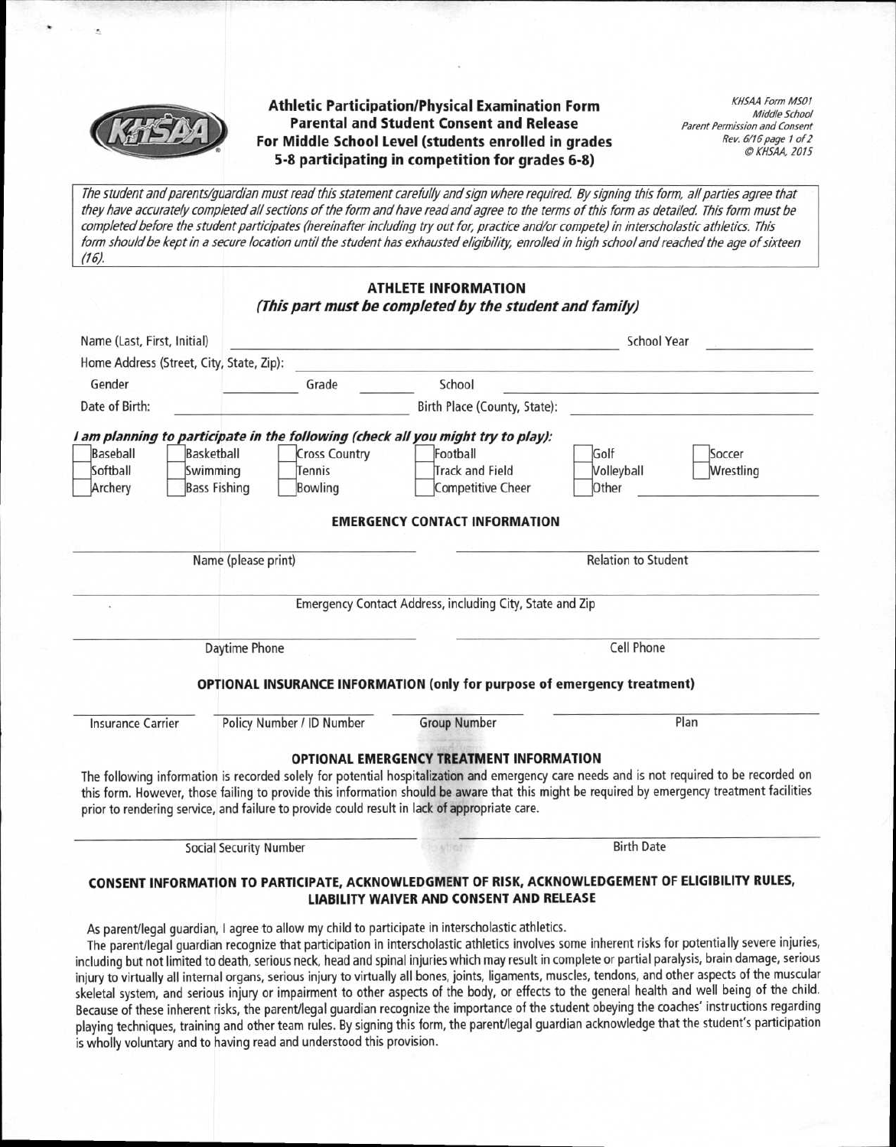

**Athletic Participation/Physical Examination Form Parental and Student Consent and Release For Middle School Level (students enrolled in grades 5-8 participating in competition for grades 6-8)** 

KHSAA Form M501 Middle School Parent Permission and Consent Rev. 6/16 page 1 of 2 O KHSAA, 2015

The student and parents/guardian must read this statement carefully and sign where required. By signing this form, all parties agree that they have accurately completed all sections of the form and have read and agree to the terms of this form as detailed. This form must be completed before the student participates (hereinafter including tiy out for, practice and/or compete) in interscholastic athletics. This form should be kept in a secure location until the student has exhausted eligibility, enrolled in high school and reached the age of sixteen (16).

|                             |                                          |                           | <b>ATHLETE INFORMATION</b><br>(This part must be completed by the student and family)                                 |                                                           |           |  |
|-----------------------------|------------------------------------------|---------------------------|-----------------------------------------------------------------------------------------------------------------------|-----------------------------------------------------------|-----------|--|
| Name (Last, First, Initial) |                                          |                           | <u> 1999 - Antonio Alemania, mpikambana amin'ny fisiana ara-daharampehintany ary 2008–2014. Ilay kaominina dia ka</u> | School Year                                               |           |  |
|                             | Home Address (Street, City, State, Zip): |                           |                                                                                                                       |                                                           |           |  |
| Gender                      |                                          | Grade                     | School                                                                                                                | <u> 1985 - Jacques John John Stoff, fransk fotballs</u> k |           |  |
| Date of Birth:              |                                          |                           | Birth Place (County, State):                                                                                          |                                                           |           |  |
|                             |                                          |                           | I am planning to participate in the following (check all you might try to play):                                      |                                                           |           |  |
| Baseball                    | Basketball                               | <b>Cross Country</b>      | Football                                                                                                              | Golf                                                      | Soccer    |  |
| Softball                    | Swimming                                 | Tennis                    | <b>Track and Field</b>                                                                                                | Volleyball                                                | Wrestling |  |
| Archery                     | <b>Bass Fishing</b>                      | Bowling                   | Competitive Cheer                                                                                                     | Other                                                     |           |  |
|                             | Name (please print)                      |                           |                                                                                                                       | <b>Relation to Student</b>                                |           |  |
|                             |                                          |                           | Emergency Contact Address, including City, State and Zip                                                              |                                                           |           |  |
|                             | Daytime Phone                            |                           |                                                                                                                       | Cell Phone                                                |           |  |
|                             |                                          |                           | <b>OPTIONAL INSURANCE INFORMATION (only for purpose of emergency treatment)</b>                                       |                                                           |           |  |
| <b>Insurance Carrier</b>    |                                          | Policy Number / ID Number | <b>Group Number</b>                                                                                                   |                                                           | Plan      |  |
|                             |                                          |                           | <b>OPTIONAL EMERGENCY TREATMENT INFORMATION</b>                                                                       |                                                           |           |  |

The following information is recorded solely for potential hospitalization and emergency care needs and is not required to be recorded on this form. However, those failing to provide this information should be aware that this might be required by emergency treatment facilities prior to rendering service, and failure to provide could result in lack **of** appropriate care.

**Social Security Number Birth Date CONSENT INFORMATION TO PARTICIPATE, ACKNOWLEDGMENT OF RISK, ACKNOWLEDGEMENT OF ELIGIBILITY RULES,** 

**LIABILITY WAIVER AND CONSENT AND RELEASE** 

As parent/legal guardian, I agree to allow my child to participate in interscholastic athletics.

The parent/legal guardian recognize that participation in interscholastic athletics involves some inherent risks for potentially severe injuries, including but not limited to death, serious neck, head and spinal injuries which may result in complete or partial paralysis, brain damage, serious injury to virtually all internal organs, serious injury to virtually all bones, joints, ligaments, muscles, tendons, and other aspects of the muscular skeletal system, and serious injury or impairment to other aspects of the body, or effects to the general health and well being of the child. Because of these inherent risks, the parent/legal guardian recognize the importance of the student obeying the coaches' instructions regarding playing techniques, training and other team rules. By signing this form, the parent/legal guardian acknowledge that the student's participation is wholly voluntary and to having read and understood this provision.